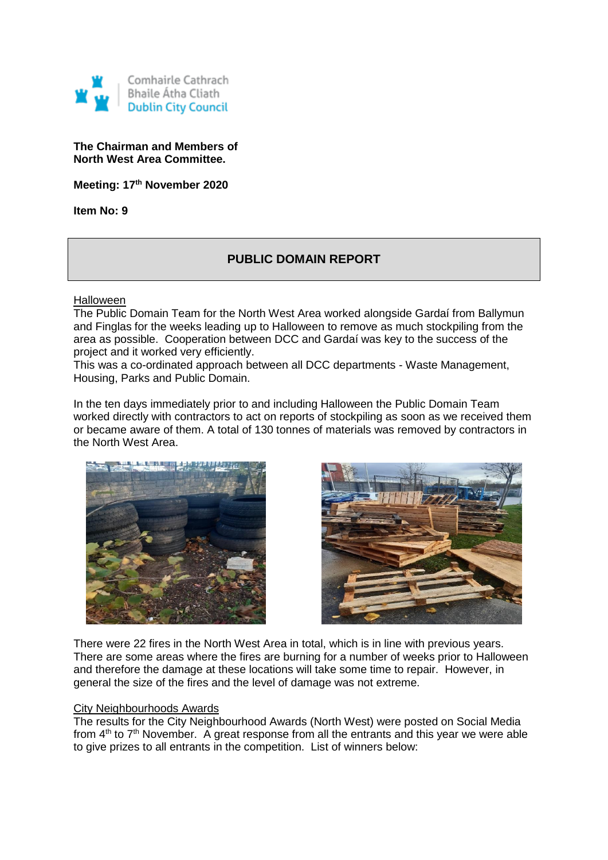

#### **The Chairman and Members of North West Area Committee.**

**Meeting: 17th November 2020**

**Item No: 9**

## **PUBLIC DOMAIN REPORT**

Halloween

The Public Domain Team for the North West Area worked alongside Gardaí from Ballymun and Finglas for the weeks leading up to Halloween to remove as much stockpiling from the area as possible. Cooperation between DCC and Gardaí was key to the success of the project and it worked very efficiently.

This was a co-ordinated approach between all DCC departments - Waste Management, Housing, Parks and Public Domain.

In the ten days immediately prior to and including Halloween the Public Domain Team worked directly with contractors to act on reports of stockpiling as soon as we received them or became aware of them. A total of 130 tonnes of materials was removed by contractors in the North West Area.





There were 22 fires in the North West Area in total, which is in line with previous years. There are some areas where the fires are burning for a number of weeks prior to Halloween and therefore the damage at these locations will take some time to repair. However, in general the size of the fires and the level of damage was not extreme.

#### City Neighbourhoods Awards

The results for the City Neighbourhood Awards (North West) were posted on Social Media from  $4<sup>th</sup>$  to  $7<sup>th</sup>$  November. A great response from all the entrants and this year we were able to give prizes to all entrants in the competition. List of winners below: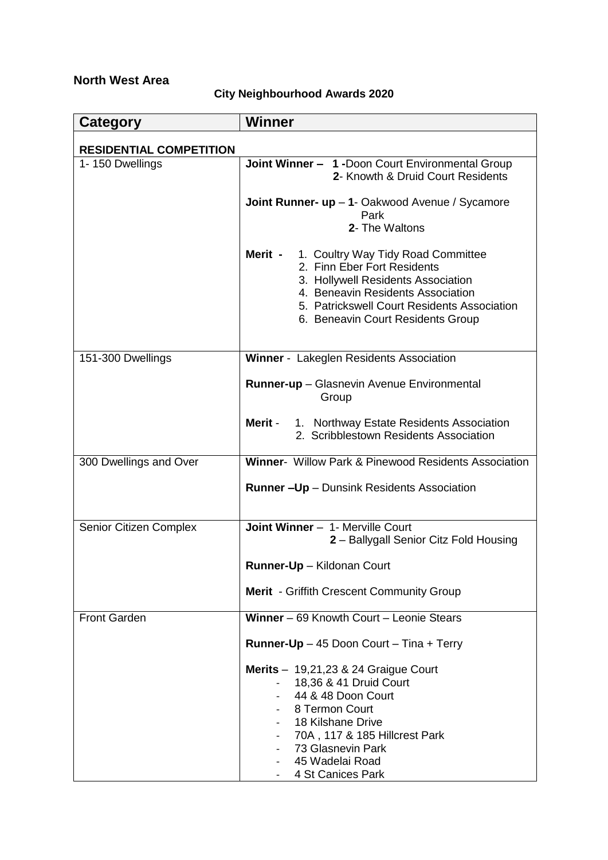# **North West Area**

# **City Neighbourhood Awards 2020**

| <b>Category</b>                | <b>Winner</b>                                                                                                                                                                                                                                           |  |
|--------------------------------|---------------------------------------------------------------------------------------------------------------------------------------------------------------------------------------------------------------------------------------------------------|--|
| <b>RESIDENTIAL COMPETITION</b> |                                                                                                                                                                                                                                                         |  |
| 1-150 Dwellings                | Joint Winner - 1 -Doon Court Environmental Group<br>2- Knowth & Druid Court Residents                                                                                                                                                                   |  |
|                                | Joint Runner- up - 1- Oakwood Avenue / Sycamore<br>Park<br>2- The Waltons                                                                                                                                                                               |  |
|                                | 1. Coultry Way Tidy Road Committee<br>Merit -<br>2. Finn Eber Fort Residents<br>3. Hollywell Residents Association<br>4. Beneavin Residents Association<br>5. Patrickswell Court Residents Association<br>6. Beneavin Court Residents Group             |  |
| 151-300 Dwellings              | Winner - Lakeglen Residents Association                                                                                                                                                                                                                 |  |
|                                | Runner-up - Glasnevin Avenue Environmental<br>Group                                                                                                                                                                                                     |  |
|                                | Merit -<br>1. Northway Estate Residents Association<br>2. Scribblestown Residents Association                                                                                                                                                           |  |
| 300 Dwellings and Over         | <b>Winner-</b> Willow Park & Pinewood Residents Association                                                                                                                                                                                             |  |
|                                | <b>Runner-Up</b> - Dunsink Residents Association                                                                                                                                                                                                        |  |
| Senior Citizen Complex         | Joint Winner - 1- Merville Court<br>2 - Ballygall Senior Citz Fold Housing                                                                                                                                                                              |  |
|                                | Runner-Up - Kildonan Court                                                                                                                                                                                                                              |  |
|                                | <b>Merit</b> - Griffith Crescent Community Group                                                                                                                                                                                                        |  |
| <b>Front Garden</b>            | Winner - 69 Knowth Court - Leonie Stears                                                                                                                                                                                                                |  |
|                                | Runner-Up - 45 Doon Court - Tina + Terry                                                                                                                                                                                                                |  |
|                                | Merits $- 19,21,23$ & 24 Graigue Court<br>18,36 & 41 Druid Court<br>44 & 48 Doon Court<br>8 Termon Court<br>18 Kilshane Drive<br>70A, 117 & 185 Hillcrest Park<br>73 Glasnevin Park<br>45 Wadelai Road<br>4 St Canices Park<br>$\overline{\phantom{a}}$ |  |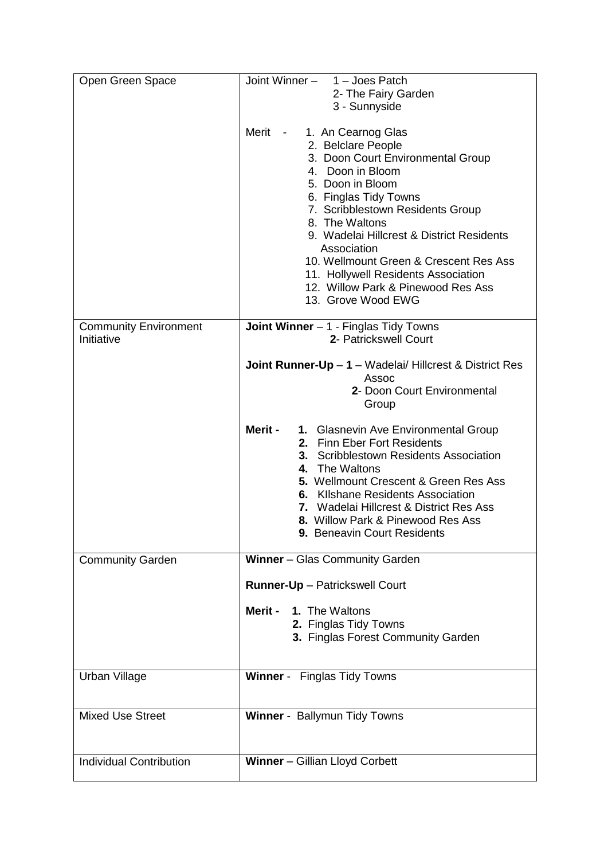| Open Green Space                           | Joint Winner - 1 - Joes Patch<br>2- The Fairy Garden<br>3 - Sunnyside                                                                                                                                                                                                                                                                                                                                                                                                |
|--------------------------------------------|----------------------------------------------------------------------------------------------------------------------------------------------------------------------------------------------------------------------------------------------------------------------------------------------------------------------------------------------------------------------------------------------------------------------------------------------------------------------|
|                                            | Merit<br>1. An Cearnog Glas<br>$\sim 10^{-10}$ m $^{-1}$<br>2. Belclare People<br>3. Doon Court Environmental Group<br>4. Doon in Bloom<br>5. Doon in Bloom<br>6. Finglas Tidy Towns<br>7. Scribblestown Residents Group<br>8. The Waltons<br>9. Wadelai Hillcrest & District Residents<br>Association<br>10. Wellmount Green & Crescent Res Ass<br>11. Hollywell Residents Association<br>12. Willow Park & Pinewood Res Ass<br>13. Grove Wood EWG                  |
| <b>Community Environment</b><br>Initiative | <b>Joint Winner</b> $-1$ - Finglas Tidy Towns<br>2- Patrickswell Court                                                                                                                                                                                                                                                                                                                                                                                               |
|                                            | <b>Joint Runner-Up</b> $- 1 - W$ adelai/ Hillcrest & District Res<br>Assoc<br>2- Doon Court Environmental<br>Group<br>Merit -<br>1. Glasnevin Ave Environmental Group<br>2. Finn Eber Fort Residents<br>3. Scribblestown Residents Association<br>4. The Waltons<br>5. Wellmount Crescent & Green Res Ass<br>6. Kilshane Residents Association<br>7. Wadelai Hillcrest & District Res Ass<br>8. Willow Park & Pinewood Res Ass<br><b>9. Beneavin Court Residents</b> |
| <b>Community Garden</b>                    | Winner - Glas Community Garden<br>Runner-Up - Patrickswell Court                                                                                                                                                                                                                                                                                                                                                                                                     |
|                                            | Merit -<br>1. The Waltons<br>2. Finglas Tidy Towns<br>3. Finglas Forest Community Garden                                                                                                                                                                                                                                                                                                                                                                             |
| Urban Village                              | Winner - Finglas Tidy Towns                                                                                                                                                                                                                                                                                                                                                                                                                                          |
| <b>Mixed Use Street</b>                    | Winner - Ballymun Tidy Towns                                                                                                                                                                                                                                                                                                                                                                                                                                         |
| <b>Individual Contribution</b>             | Winner - Gillian Lloyd Corbett                                                                                                                                                                                                                                                                                                                                                                                                                                       |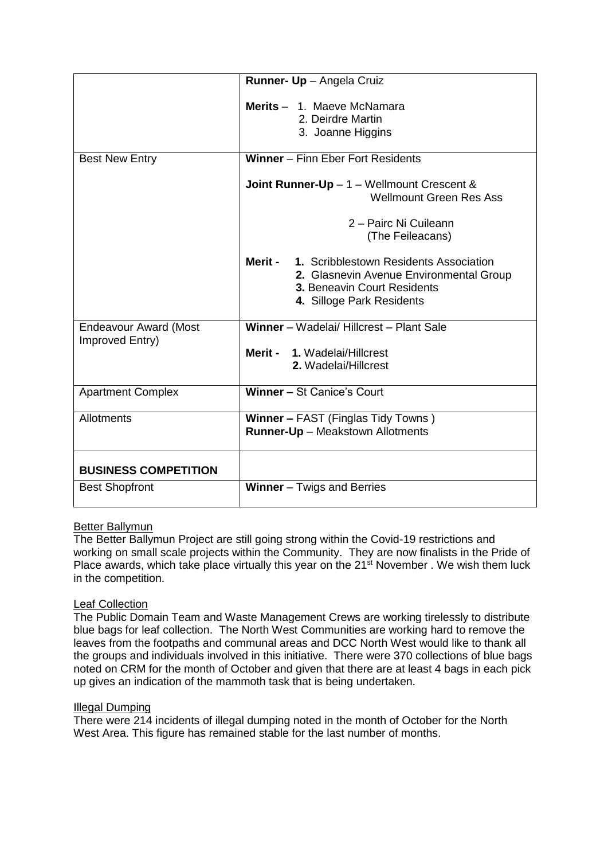|                              | Runner- Up - Angela Cruiz                          |
|------------------------------|----------------------------------------------------|
|                              |                                                    |
|                              | Merits - 1. Maeve McNamara                         |
|                              | 2. Deirdre Martin                                  |
|                              | 3. Joanne Higgins                                  |
|                              |                                                    |
| <b>Best New Entry</b>        | Winner - Finn Eber Fort Residents                  |
|                              |                                                    |
|                              | <b>Joint Runner-Up</b> $-1$ – Wellmount Crescent & |
|                              | <b>Wellmount Green Res Ass</b>                     |
|                              | 2 - Pairc Ni Cuileann                              |
|                              |                                                    |
|                              | (The Feileacans)                                   |
|                              | Merit - 1. Scribblestown Residents Association     |
|                              | 2. Glasnevin Avenue Environmental Group            |
|                              | 3. Beneavin Court Residents                        |
|                              | 4. Silloge Park Residents                          |
|                              |                                                    |
| <b>Endeavour Award (Most</b> | Winner - Wadelai/ Hillcrest - Plant Sale           |
| Improved Entry)              |                                                    |
|                              | Merit - 1. Wadelai/Hillcrest                       |
|                              | 2. Wadelai/Hillcrest                               |
|                              |                                                    |
| <b>Apartment Complex</b>     | <b>Winner - St Canice's Court</b>                  |
|                              |                                                    |
| <b>Allotments</b>            | <b>Winner - FAST (Finglas Tidy Towns)</b>          |
|                              | <b>Runner-Up</b> - Meakstown Allotments            |
|                              |                                                    |
| <b>BUSINESS COMPETITION</b>  |                                                    |
| <b>Best Shopfront</b>        | <b>Winner</b> $-$ Twigs and Berries                |
|                              |                                                    |

### Better Ballymun

The Better Ballymun Project are still going strong within the Covid-19 restrictions and working on small scale projects within the Community. They are now finalists in the Pride of Place awards, which take place virtually this year on the 21<sup>st</sup> November, We wish them luck in the competition.

### Leaf Collection

The Public Domain Team and Waste Management Crews are working tirelessly to distribute blue bags for leaf collection. The North West Communities are working hard to remove the leaves from the footpaths and communal areas and DCC North West would like to thank all the groups and individuals involved in this initiative. There were 370 collections of blue bags noted on CRM for the month of October and given that there are at least 4 bags in each pick up gives an indication of the mammoth task that is being undertaken.

### Illegal Dumping

There were 214 incidents of illegal dumping noted in the month of October for the North West Area. This figure has remained stable for the last number of months.